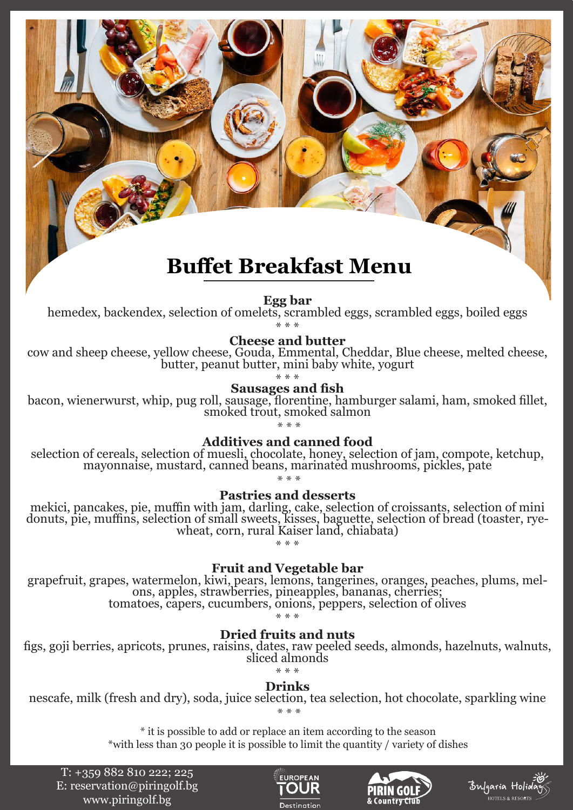# **Buffet Breakfast Menu**

**Egg bar** hemedex, backendex, selection of omelets, scrambled eggs, scrambled eggs, boiled eggs

\* \* \*

**Cheese and butter**

cow and sheep cheese, yellow cheese, Gouda, Emmental, Cheddar, Blue cheese, melted cheese, butter, peanut butter, mini baby white, yogurt

**Sausages and fish**<br>bacon, wienerwurst, whip, pug roll, sausage, florentine, hamburger salami, ham, smoked fillet,<br>smoked trout, smoked salmon \* \* \*

**Additives and canned food**

selection of cereals, selection of muesli, chocolate, honey, selection of jam, compote, ketchup, mayonnaise, mustard, canned beans, marinated mushrooms, pickles, pate

\* \* \*

**Pastries and desserts**

mekici, pancakes, pie, muffin with jam, darling, cake, selection of croissants, selection of mini donuts, pie, muffins, selection of small sweets, kisses, baguette, selection of bread (toaster, rye- wheat, corn, rural Kaiser land, chiabata)

\* \* \*

**Fruit and Vegetable bar**<br>grapefruit, grapes, watermelon, kiwi, pears, lemons, tangerines, oranges, peaches, plums, mel-<br>ons, apples, strawberries, pineapples, bananas, cherries;<br>tomatoes, capers, cucumbers, onions, pepper

\* \* \*

# **Dried fruits and nuts**

figs, goji berries, apricots, prunes, raisins, dates, raw peeled seeds, almonds, hazelnuts, walnuts, sliced almonds

\* \* \*

**Drinks**

nescafe, milk (fresh and dry), soda, juice selection, tea selection, hot chocolate, sparkling wine \* \* \*

> \* it is possible to add or replace an item according to the season \*with less than 30 people it is possible to limit the quantity / variety of dishes

Т: +359 882 810 222; 225 Е: reservation@piringolf.bg www.piringolf.bg